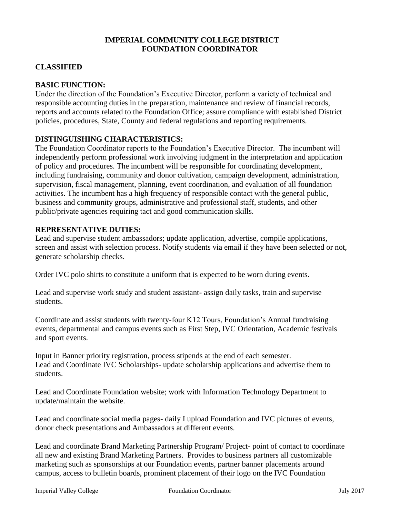## **IMPERIAL COMMUNITY COLLEGE DISTRICT FOUNDATION COORDINATOR**

# **CLASSIFIED**

## **BASIC FUNCTION:**

Under the direction of the Foundation's Executive Director, perform a variety of technical and responsible accounting duties in the preparation, maintenance and review of financial records, reports and accounts related to the Foundation Office; assure compliance with established District policies, procedures, State, County and federal regulations and reporting requirements.

### **DISTINGUISHING CHARACTERISTICS:**

The Foundation Coordinator reports to the Foundation's Executive Director. The incumbent will independently perform professional work involving judgment in the interpretation and application of policy and procedures. The incumbent will be responsible for coordinating development, including fundraising, community and donor cultivation, campaign development, administration, supervision, fiscal management, planning, event coordination, and evaluation of all foundation activities. The incumbent has a high frequency of responsible contact with the general public, business and community groups, administrative and professional staff, students, and other public/private agencies requiring tact and good communication skills.

#### **REPRESENTATIVE DUTIES:**

Lead and supervise student ambassadors; update application, advertise, compile applications, screen and assist with selection process. Notify students via email if they have been selected or not, generate scholarship checks.

Order IVC polo shirts to constitute a uniform that is expected to be worn during events.

Lead and supervise work study and student assistant- assign daily tasks, train and supervise students.

Coordinate and assist students with twenty-four K12 Tours, Foundation's Annual fundraising events, departmental and campus events such as First Step, IVC Orientation, Academic festivals and sport events.

Input in Banner priority registration, process stipends at the end of each semester. Lead and Coordinate IVC Scholarships- update scholarship applications and advertise them to students.

Lead and Coordinate Foundation website; work with Information Technology Department to update/maintain the website.

Lead and coordinate social media pages- daily I upload Foundation and IVC pictures of events, donor check presentations and Ambassadors at different events.

Lead and coordinate Brand Marketing Partnership Program/ Project- point of contact to coordinate all new and existing Brand Marketing Partners. Provides to business partners all customizable marketing such as sponsorships at our Foundation events, partner banner placements around campus, access to bulletin boards, prominent placement of their logo on the IVC Foundation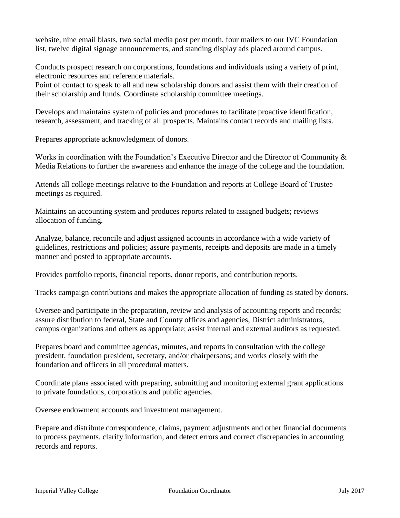website, nine email blasts, two social media post per month, four mailers to our IVC Foundation list, twelve digital signage announcements, and standing display ads placed around campus.

Conducts prospect research on corporations, foundations and individuals using a variety of print, electronic resources and reference materials.

Point of contact to speak to all and new scholarship donors and assist them with their creation of their scholarship and funds. Coordinate scholarship committee meetings.

Develops and maintains system of policies and procedures to facilitate proactive identification, research, assessment, and tracking of all prospects. Maintains contact records and mailing lists.

Prepares appropriate acknowledgment of donors.

Works in coordination with the Foundation's Executive Director and the Director of Community  $\&$ Media Relations to further the awareness and enhance the image of the college and the foundation.

Attends all college meetings relative to the Foundation and reports at College Board of Trustee meetings as required.

Maintains an accounting system and produces reports related to assigned budgets; reviews allocation of funding.

Analyze, balance, reconcile and adjust assigned accounts in accordance with a wide variety of guidelines, restrictions and policies; assure payments, receipts and deposits are made in a timely manner and posted to appropriate accounts.

Provides portfolio reports, financial reports, donor reports, and contribution reports.

Tracks campaign contributions and makes the appropriate allocation of funding as stated by donors.

Oversee and participate in the preparation, review and analysis of accounting reports and records; assure distribution to federal, State and County offices and agencies, District administrators, campus organizations and others as appropriate; assist internal and external auditors as requested.

Prepares board and committee agendas, minutes, and reports in consultation with the college president, foundation president, secretary, and/or chairpersons; and works closely with the foundation and officers in all procedural matters.

Coordinate plans associated with preparing, submitting and monitoring external grant applications to private foundations, corporations and public agencies.

Oversee endowment accounts and investment management.

Prepare and distribute correspondence, claims, payment adjustments and other financial documents to process payments, clarify information, and detect errors and correct discrepancies in accounting records and reports.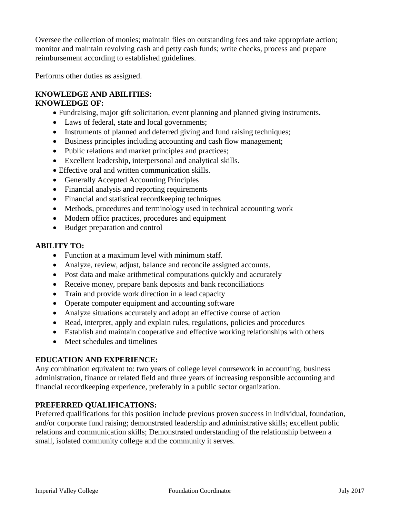Oversee the collection of monies; maintain files on outstanding fees and take appropriate action; monitor and maintain revolving cash and petty cash funds; write checks, process and prepare reimbursement according to established guidelines.

Performs other duties as assigned.

#### **KNOWLEDGE AND ABILITIES: KNOWLEDGE OF:**

- Fundraising, major gift solicitation, event planning and planned giving instruments.
- Laws of federal, state and local governments;
- Instruments of planned and deferred giving and fund raising techniques;
- Business principles including accounting and cash flow management;
- Public relations and market principles and practices;
- Excellent leadership, interpersonal and analytical skills.
- Effective oral and written communication skills.
- Generally Accepted Accounting Principles
- Financial analysis and reporting requirements
- Financial and statistical record keeping techniques
- Methods, procedures and terminology used in technical accounting work
- Modern office practices, procedures and equipment
- Budget preparation and control

## **ABILITY TO:**

- Function at a maximum level with minimum staff.
- Analyze, review, adjust, balance and reconcile assigned accounts.
- Post data and make arithmetical computations quickly and accurately
- Receive money, prepare bank deposits and bank reconciliations
- Train and provide work direction in a lead capacity
- Operate computer equipment and accounting software
- Analyze situations accurately and adopt an effective course of action
- Read, interpret, apply and explain rules, regulations, policies and procedures
- Establish and maintain cooperative and effective working relationships with others
- Meet schedules and timelines

### **EDUCATION AND EXPERIENCE:**

Any combination equivalent to: two years of college level coursework in accounting, business administration, finance or related field and three years of increasing responsible accounting and financial recordkeeping experience, preferably in a public sector organization.

# **PREFERRED QUALIFICATIONS:**

Preferred qualifications for this position include previous proven success in individual, foundation, and/or corporate fund raising; demonstrated leadership and administrative skills; excellent public relations and communication skills; Demonstrated understanding of the relationship between a small, isolated community college and the community it serves.